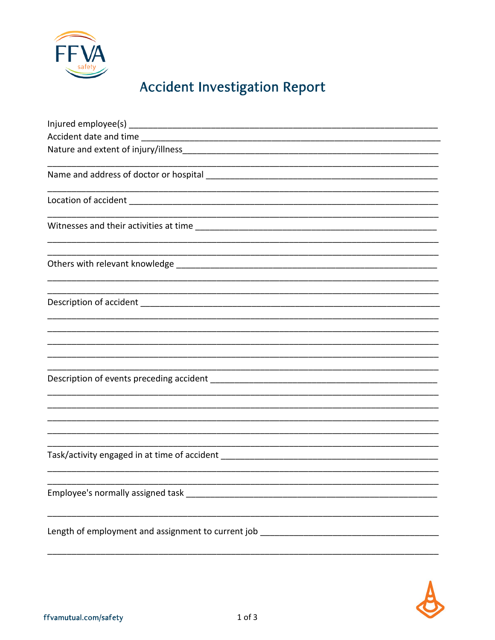

## **Accident Investigation Report**

| Length of employment and assignment to current job _____________________________ |
|----------------------------------------------------------------------------------|
|                                                                                  |

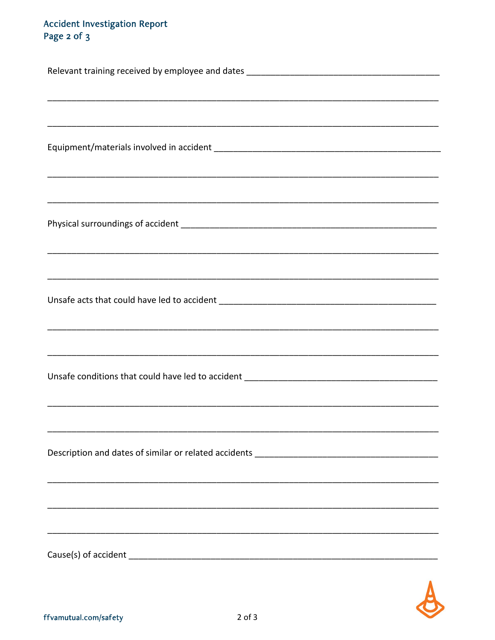## Accident Investigation Report<br>Page 2 of 3

| Unsafe conditions that could have led to accident _______________________________ |
|-----------------------------------------------------------------------------------|
|                                                                                   |
|                                                                                   |
|                                                                                   |
|                                                                                   |